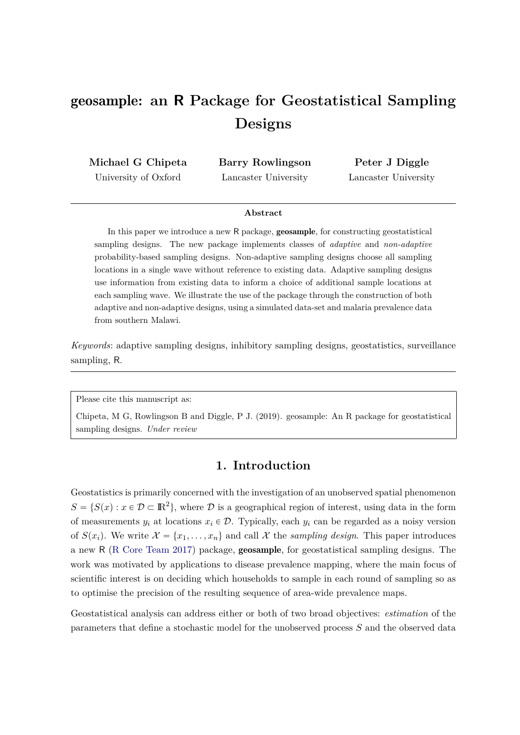# geosample**: an R Package for Geostatistical Sampling Designs**

**Michael G Chipeta** University of Oxford

**Barry Rowlingson** Lancaster University

**Peter J Diggle** Lancaster University

#### **Abstract**

In this paper we introduce a new R package, geosample, for constructing geostatistical sampling designs. The new package implements classes of *adaptive* and *non-adaptive* probability-based sampling designs. Non-adaptive sampling designs choose all sampling locations in a single wave without reference to existing data. Adaptive sampling designs use information from existing data to inform a choice of additional sample locations at each sampling wave. We illustrate the use of the package through the construction of both adaptive and non-adaptive designs, using a simulated data-set and malaria prevalence data from southern Malawi.

*Keywords*: adaptive sampling designs, inhibitory sampling designs, geostatistics, surveillance sampling, R.

Please cite this manuscript as:

Chipeta, M G, Rowlingson B and Diggle, P J. (2019). geosample: An R package for geostatistical sampling designs. *Under review*

# **1. Introduction**

Geostatistics is primarily concerned with the investigation of an unobserved spatial phenomenon  $S = \{ S(x) : x \in \mathcal{D} \subset \mathbb{R}^2 \}$ , where  $\mathcal D$  is a geographical region of interest, using data in the form of measurements  $y_i$  at locations  $x_i \in \mathcal{D}$ . Typically, each  $y_i$  can be regarded as a noisy version of  $S(x_i)$ . We write  $\mathcal{X} = \{x_1, \ldots, x_n\}$  and call  $\mathcal{X}$  the *sampling design*. This paper introduces a new R (R Core Team 2017) package, geosample, for geostatistical sampling designs. The work was motivated by applications to disease prevalence mapping, where the main focus of scientific interest is on deciding which households to sample in each round of sampling so as to optimise the precision of the resulting sequence of area-wide prevalence maps.

Geostatistical analysis can address either or both of two broad objectives: *estimation* of the parameters that define a stochastic model for the unobserved process *S* and the observed data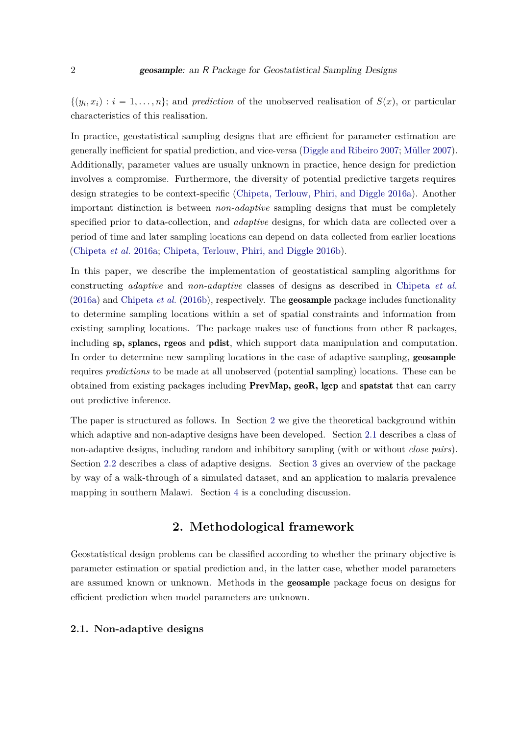$\{(y_i, x_i): i = 1, \ldots, n\};$  and *prediction* of the unobserved realisation of  $S(x)$ , or particular characteristics of this realisation.

In practice, geostatistical sampling designs that are efficient for parameter estimation are generally inefficient for spatial prediction, and vice-versa (Diggle and Ribeiro 2007; Müller 2007). Additionally, parameter values are usually unknown in practice, hence design for prediction involves a compromise. Furthermore, the diversity of potential predictive targets requires design strategies to be context-specific (Chipeta, Terlouw, Phiri, and Diggle 2016a). Another important distinction is between *non-adaptive* sampling designs that must be completely specified prior to data-collection, and *adaptive* designs, for which data are collected over a period of time and later sampling locations can depend on data collected from earlier locations (Chipeta *et al.* 2016a; Chipeta, Terlouw, Phiri, and Diggle 2016b).

In this paper, we describe the implementation of geostatistical sampling algorithms for constructing *adaptive* and *non-adaptive* classes of designs as described in Chipeta *et al.* (2016a) and Chipeta *et al.* (2016b), respectively. The geosample package includes functionality to determine sampling locations within a set of spatial constraints and information from existing sampling locations. The package makes use of functions from other R packages, including sp, splancs, rgeos and pdist, which support data manipulation and computation. In order to determine new sampling locations in the case of adaptive sampling, geosample requires *predictions* to be made at all unobserved (potential sampling) locations. These can be obtained from existing packages including PrevMap, geoR, lgcp and spatstat that can carry out predictive inference.

The paper is structured as follows. In Section 2 we give the theoretical background within which adaptive and non-adaptive designs have been developed. Section 2.1 describes a class of non-adaptive designs, including random and inhibitory sampling (with or without *close pairs*). Section 2.2 describes a class of adaptive designs. Section 3 gives an overview of the package by way of a walk-through of a simulated dataset, and an application to malaria prevalence mapping in southern Malawi. Section 4 is a concluding discussion.

# **2. Methodological framework**

Geostatistical design problems can be classified according to whether the primary objective is parameter estimation or spatial prediction and, in the latter case, whether model parameters are assumed known or unknown. Methods in the geosample package focus on designs for efficient prediction when model parameters are unknown.

#### **2.1. Non-adaptive designs**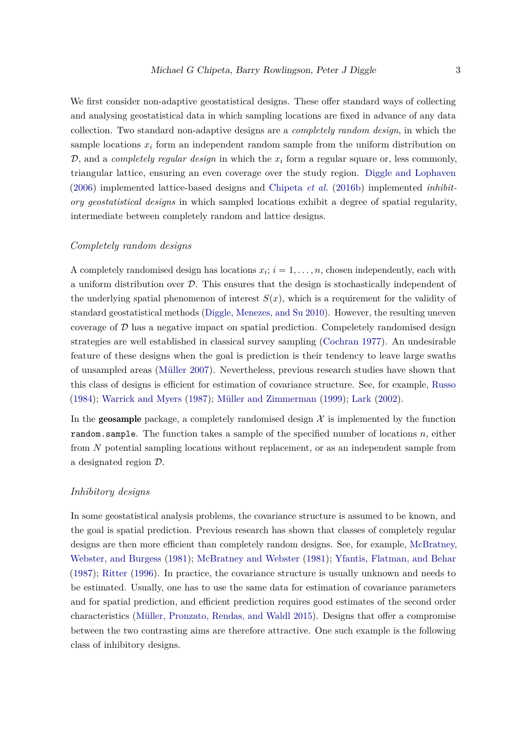We first consider non-adaptive geostatistical designs. These offer standard ways of collecting and analysing geostatistical data in which sampling locations are fixed in advance of any data collection. Two standard non-adaptive designs are a *completely random design*, in which the sample locations  $x_i$  form an independent random sample from the uniform distribution on  $D$ , and a *completely regular design* in which the  $x_i$  form a regular square or, less commonly, triangular lattice, ensuring an even coverage over the study region. Diggle and Lophaven (2006) implemented lattice-based designs and Chipeta *et al.* (2016b) implemented *inhibitory geostatistical designs* in which sampled locations exhibit a degree of spatial regularity, intermediate between completely random and lattice designs.

#### *Completely random designs*

A completely randomised design has locations  $x_i$ ;  $i = 1, \ldots, n$ , chosen independently, each with a uniform distribution over  $D$ . This ensures that the design is stochastically independent of the underlying spatial phenomenon of interest  $S(x)$ , which is a requirement for the validity of standard geostatistical methods (Diggle, Menezes, and Su 2010). However, the resulting uneven coverage of  $D$  has a negative impact on spatial prediction. Compeletely randomised design strategies are well established in classical survey sampling (Cochran 1977). An undesirable feature of these designs when the goal is prediction is their tendency to leave large swaths of unsampled areas (Müller 2007). Nevertheless, previous research studies have shown that this class of designs is efficient for estimation of covariance structure. See, for example, Russo (1984); Warrick and Myers (1987); Müller and Zimmerman (1999); Lark (2002).

In the **geosample** package, a completely randomised design  $\mathcal{X}$  is implemented by the function random.sample. The function takes a sample of the specified number of locations *n*, either from *N* potential sampling locations without replacement, or as an independent sample from a designated region D.

#### *Inhibitory designs*

In some geostatistical analysis problems, the covariance structure is assumed to be known, and the goal is spatial prediction. Previous research has shown that classes of completely regular designs are then more efficient than completely random designs. See, for example, McBratney, Webster, and Burgess (1981); McBratney and Webster (1981); Yfantis, Flatman, and Behar (1987); Ritter (1996). In practice, the covariance structure is usually unknown and needs to be estimated. Usually, one has to use the same data for estimation of covariance parameters and for spatial prediction, and efficient prediction requires good estimates of the second order characteristics (Müller, Pronzato, Rendas, and Waldl 2015). Designs that offer a compromise between the two contrasting aims are therefore attractive. One such example is the following class of inhibitory designs.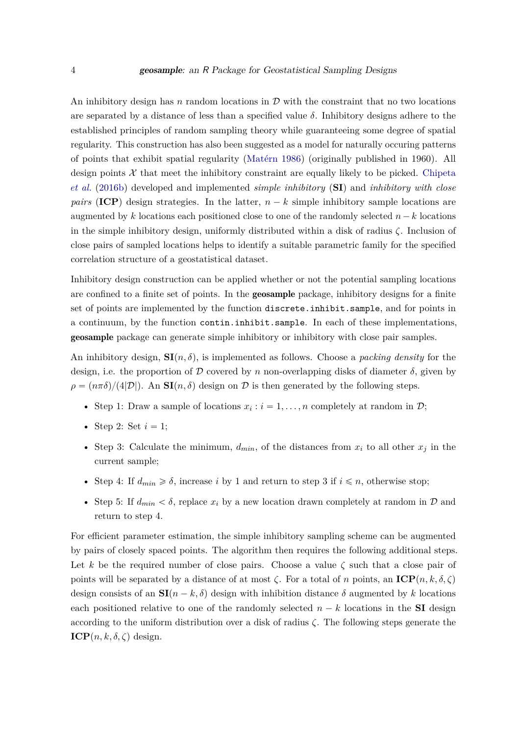An inhibitory design has *n* random locations in  $D$  with the constraint that no two locations are separated by a distance of less than a specified value *δ*. Inhibitory designs adhere to the established principles of random sampling theory while guaranteeing some degree of spatial regularity. This construction has also been suggested as a model for naturally occuring patterns of points that exhibit spatial regularity (Matérn 1986) (originally published in 1960). All design points  $\mathcal X$  that meet the inhibitory constraint are equally likely to be picked. Chipeta *et al.* (2016b) developed and implemented *simple inhibitory* (**SI**) and *inhibitory with close pairs* (**ICP**) design strategies. In the latter,  $n - k$  simple inhibitory sample locations are augmented by *k* locations each positioned close to one of the randomly selected  $n - k$  locations in the simple inhibitory design, uniformly distributed within a disk of radius *ζ*. Inclusion of close pairs of sampled locations helps to identify a suitable parametric family for the specified correlation structure of a geostatistical dataset.

Inhibitory design construction can be applied whether or not the potential sampling locations are confined to a finite set of points. In the geosample package, inhibitory designs for a finite set of points are implemented by the function discrete.inhibit.sample, and for points in a continuum, by the function contin.inhibit.sample. In each of these implementations, geosample package can generate simple inhibitory or inhibitory with close pair samples.

An inhibitory design,  $\mathbf{SI}(n, \delta)$ , is implemented as follows. Choose a *packing density* for the design, i.e. the proportion of D covered by *n* non-overlapping disks of diameter  $\delta$ , given by  $\rho = (n\pi\delta)/(4|\mathcal{D}|)$ . An **SI**(*n, δ*) design on D is then generated by the following steps.

- Step 1: Draw a sample of locations  $x_i : i = 1, ..., n$  completely at random in  $\mathcal{D}$ ;
- Step 2: Set  $i = 1$ ;
- Step 3: Calculate the minimum,  $d_{min}$ , of the distances from  $x_i$  to all other  $x_j$  in the current sample;
- Step 4: If  $d_{min} \geq \delta$ , increase *i* by 1 and return to step 3 if  $i \leq n$ , otherwise stop;
- Step 5: If  $d_{min} < \delta$ , replace  $x_i$  by a new location drawn completely at random in  $\mathcal{D}$  and return to step 4.

For efficient parameter estimation, the simple inhibitory sampling scheme can be augmented by pairs of closely spaced points. The algorithm then requires the following additional steps. Let *k* be the required number of close pairs. Choose a value  $\zeta$  such that a close pair of points will be separated by a distance of at most  $\zeta$ . For a total of *n* points, an **ICP** $(n, k, \delta, \zeta)$ design consists of an  $\mathbf{SI}(n - k, \delta)$  design with inhibition distance  $\delta$  augmented by k locations each positioned relative to one of the randomly selected  $n - k$  locations in the **SI** design according to the uniform distribution over a disk of radius *ζ*. The following steps generate the **ICP** $(n, k, \delta, \zeta)$  design.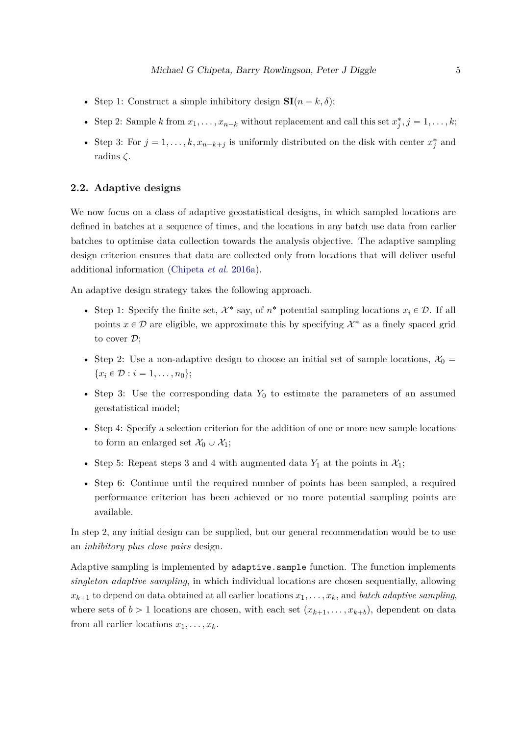- Step 1: Construct a simple inhibitory design  $SI(n k, \delta)$ ;
- Step 2: Sample *k* from  $x_1, \ldots, x_{n-k}$  without replacement and call this set  $x_j^*, j = 1, \ldots, k$ ;
- Step 3: For  $j = 1, ..., k, x_{n-k+j}$  is uniformly distributed on the disk with center  $x_j^*$  and radius *ζ*.

#### **2.2. Adaptive designs**

We now focus on a class of adaptive geostatistical designs, in which sampled locations are defined in batches at a sequence of times, and the locations in any batch use data from earlier batches to optimise data collection towards the analysis objective. The adaptive sampling design criterion ensures that data are collected only from locations that will deliver useful additional information (Chipeta *et al.* 2016a).

An adaptive design strategy takes the following approach.

- Step 1: Specify the finite set,  $\mathcal{X}^*$  say, of  $n^*$  potential sampling locations  $x_i \in \mathcal{D}$ . If all points  $x \in \mathcal{D}$  are eligible, we approximate this by specifying  $\mathcal{X}^*$  as a finely spaced grid to cover  $\mathcal{D}$ ;
- Step 2: Use a non-adaptive design to choose an initial set of sample locations,  $\mathcal{X}_0 =$  ${x_i \in \mathcal{D} : i = 1, \ldots, n_0};$
- Step 3: Use the corresponding data  $Y_0$  to estimate the parameters of an assumed geostatistical model;
- Step 4: Specify a selection criterion for the addition of one or more new sample locations to form an enlarged set  $\mathcal{X}_0 \cup \mathcal{X}_1$ ;
- Step 5: Repeat steps 3 and 4 with augmented data  $Y_1$  at the points in  $\mathcal{X}_1$ ;
- Step 6: Continue until the required number of points has been sampled, a required performance criterion has been achieved or no more potential sampling points are available.

In step 2, any initial design can be supplied, but our general recommendation would be to use an *inhibitory plus close pairs* design.

Adaptive sampling is implemented by adaptive.sample function. The function implements *singleton adaptive sampling*, in which individual locations are chosen sequentially, allowing  $x_{k+1}$  to depend on data obtained at all earlier locations  $x_1, \ldots, x_k$ , and *batch adaptive sampling*, where sets of  $b > 1$  locations are chosen, with each set  $(x_{k+1}, \ldots, x_{k+b})$ , dependent on data from all earlier locations  $x_1, \ldots, x_k$ .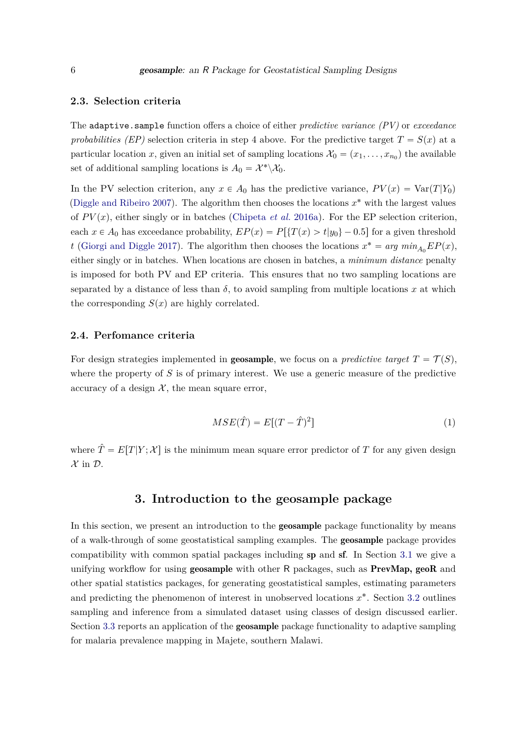#### **2.3. Selection criteria**

The adaptive.sample function offers a choice of either *predictive variance (PV)* or *exceedance probabilities (EP)* selection criteria in step 4 above. For the predictive target  $T = S(x)$  at a particular location *x*, given an initial set of sampling locations  $\mathcal{X}_0 = (x_1, \dots, x_{n_0})$  the available set of additional sampling locations is  $A_0 = \mathcal{X}^* \backslash \mathcal{X}_0$ .

In the PV selection criterion, any  $x \in A_0$  has the predictive variance,  $PV(x) = \text{Var}(T|Y_0)$ (Diggle and Ribeiro 2007). The algorithm then chooses the locations  $x^*$  with the largest values of  $PV(x)$ , either singly or in batches (Chipeta *et al.* 2016a). For the EP selection criterion, each  $x \in A_0$  has exceedance probability,  $EP(x) = P[\{T(x) > t | y_0\} - 0.5]$  for a given threshold *t* (Giorgi and Diggle 2017). The algorithm then chooses the locations  $x^* = arg min_{A_0} EP(x)$ , either singly or in batches. When locations are chosen in batches, a *minimum distance* penalty is imposed for both PV and EP criteria. This ensures that no two sampling locations are separated by a distance of less than  $\delta$ , to avoid sampling from multiple locations x at which the corresponding  $S(x)$  are highly correlated.

#### **2.4. Perfomance criteria**

For design strategies implemented in **geosample**, we focus on a *predictive target*  $T = \mathcal{T}(S)$ , where the property of *S* is of primary interest. We use a generic measure of the predictive accuracy of a design  $X$ , the mean square error,

$$
MSE(\hat{T}) = E[(T - \hat{T})^2]
$$
\n(1)

where  $\hat{T} = E[T|Y; \mathcal{X}]$  is the minimum mean square error predictor of *T* for any given design  $\mathcal{X}$  in  $\mathcal{D}$ .

## **3. Introduction to the geosample package**

In this section, we present an introduction to the **geosample** package functionality by means of a walk-through of some geostatistical sampling examples. The geosample package provides compatibility with common spatial packages including sp and sf. In Section 3.1 we give a unifying workflow for using **geosample** with other R packages, such as **PrevMap**, **geoR** and other spatial statistics packages, for generating geostatistical samples, estimating parameters and predicting the phenomenon of interest in unobserved locations  $x^*$ . Section 3.2 outlines sampling and inference from a simulated dataset using classes of design discussed earlier. Section 3.3 reports an application of the **geosample** package functionality to adaptive sampling for malaria prevalence mapping in Majete, southern Malawi.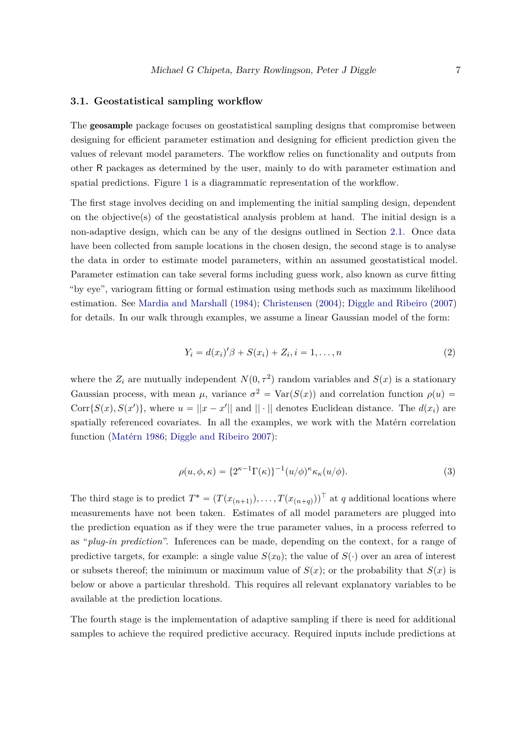#### **3.1. Geostatistical sampling workflow**

The geosample package focuses on geostatistical sampling designs that compromise between designing for efficient parameter estimation and designing for efficient prediction given the values of relevant model parameters. The workflow relies on functionality and outputs from other R packages as determined by the user, mainly to do with parameter estimation and spatial predictions. Figure 1 is a diagrammatic representation of the workflow.

The first stage involves deciding on and implementing the initial sampling design, dependent on the objective(s) of the geostatistical analysis problem at hand. The initial design is a non-adaptive design, which can be any of the designs outlined in Section 2.1. Once data have been collected from sample locations in the chosen design, the second stage is to analyse the data in order to estimate model parameters, within an assumed geostatistical model. Parameter estimation can take several forms including guess work, also known as curve fitting "by eye", variogram fitting or formal estimation using methods such as maximum likelihood estimation. See Mardia and Marshall (1984); Christensen (2004); Diggle and Ribeiro (2007) for details. In our walk through examples, we assume a linear Gaussian model of the form:

$$
Y_i = d(x_i)'\beta + S(x_i) + Z_i, i = 1, ..., n
$$
\n(2)

where the  $Z_i$  are mutually independent  $N(0, \tau^2)$  random variables and  $S(x)$  is a stationary Gaussian process, with mean  $\mu$ , variance  $\sigma^2 = \text{Var}(S(x))$  and correlation function  $\rho(u)$ Corr $\{S(x), S(x')\}$ , where  $u = ||x - x'||$  and  $|| \cdot ||$  denotes Euclidean distance. The  $d(x_i)$  are spatially referenced covariates. In all the examples, we work with the Matérn correlation function (Matérn 1986; Diggle and Ribeiro 2007):

$$
\rho(u,\phi,\kappa) = \{2^{\kappa-1}\Gamma(\kappa)\}^{-1}(u/\phi)^{\kappa}\kappa_{\kappa}(u/\phi). \tag{3}
$$

The third stage is to predict  $T^* = (T(x_{(n+1)}), \ldots, T(x_{(n+q)}))^T$  at *q* additional locations where measurements have not been taken. Estimates of all model parameters are plugged into the prediction equation as if they were the true parameter values, in a process referred to as "*plug-in prediction*". Inferences can be made, depending on the context, for a range of predictive targets, for example: a single value  $S(x_0)$ ; the value of  $S(\cdot)$  over an area of interest or subsets thereof; the minimum or maximum value of  $S(x)$ ; or the probability that  $S(x)$  is below or above a particular threshold. This requires all relevant explanatory variables to be available at the prediction locations.

The fourth stage is the implementation of adaptive sampling if there is need for additional samples to achieve the required predictive accuracy. Required inputs include predictions at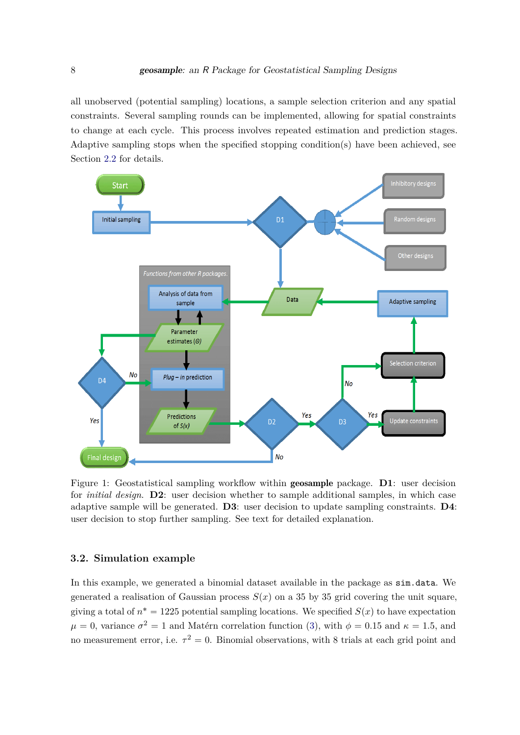all unobserved (potential sampling) locations, a sample selection criterion and any spatial constraints. Several sampling rounds can be implemented, allowing for spatial constraints to change at each cycle. This process involves repeated estimation and prediction stages. Adaptive sampling stops when the specified stopping condition(s) have been achieved, see Section 2.2 for details.



Figure 1: Geostatistical sampling workflow within geosample package. **D1**: user decision for *initial design*. **D2**: user decision whether to sample additional samples, in which case adaptive sample will be generated. **D3**: user decision to update sampling constraints. **D4**: user decision to stop further sampling. See text for detailed explanation.

### **3.2. Simulation example**

In this example, we generated a binomial dataset available in the package as sim.data. We generated a realisation of Gaussian process  $S(x)$  on a 35 by 35 grid covering the unit square, giving a total of  $n^* = 1225$  potential sampling locations. We specified  $S(x)$  to have expectation  $\mu = 0$ , variance  $\sigma^2 = 1$  and Matérn correlation function (3), with  $\phi = 0.15$  and  $\kappa = 1.5$ , and no measurement error, i.e.  $\tau^2 = 0$ . Binomial observations, with 8 trials at each grid point and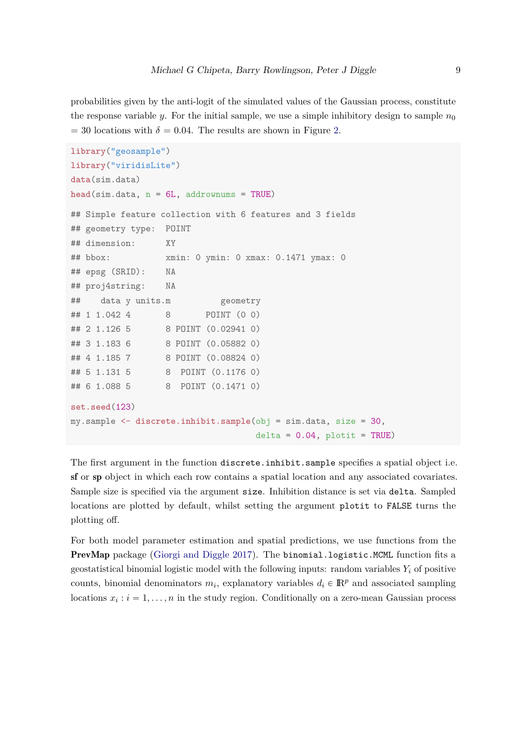probabilities given by the anti-logit of the simulated values of the Gaussian process, constitute the response variable *y*. For the initial sample, we use a simple inhibitory design to sample  $n_0$  $= 30$  locations with  $\delta = 0.04$ . The results are shown in Figure 2.

```
library("geosample")
library("viridisLite")
data(sim.data)
head(sim.data, n = 6L, addrownums = TRUE)
## Simple feature collection with 6 features and 3 fields
## geometry type: POINT
## dimension: XY
## bbox: xmin: 0 ymin: 0 xmax: 0.1471 ymax: 0
## epsg (SRID): NA
## proj4string: NA
## data y units.m geometry
## 1 1.042 4 8 POINT (0 0)
## 2 1.126 5 8 POINT (0.02941 0)
## 3 1.183 6 8 POINT (0.05882 0)
## 4 1.185 7 8 POINT (0.08824 0)
## 5 1.131 5 8 POINT (0.1176 0)
## 6 1.088 5 8 POINT (0.1471 0)
set.seed(123)
my.sample <- discrete.inhibit.sample(obj = sim.data, size = 30,
                                 delta = 0.04, plotit = TRUE)
```
The first argument in the function discrete.inhibit.sample specifies a spatial object i.e. sf or sp object in which each row contains a spatial location and any associated covariates. Sample size is specified via the argument size. Inhibition distance is set via delta. Sampled locations are plotted by default, whilst setting the argument plotit to FALSE turns the plotting off.

For both model parameter estimation and spatial predictions, we use functions from the PrevMap package (Giorgi and Diggle 2017). The binomial.logistic.MCML function fits a geostatistical binomial logistic model with the following inputs: random variables  $Y_i$  of positive counts, binomial denominators  $m_i$ , explanatory variables  $d_i \in \mathbb{R}^p$  and associated sampling locations  $x_i : i = 1, \ldots, n$  in the study region. Conditionally on a zero-mean Gaussian process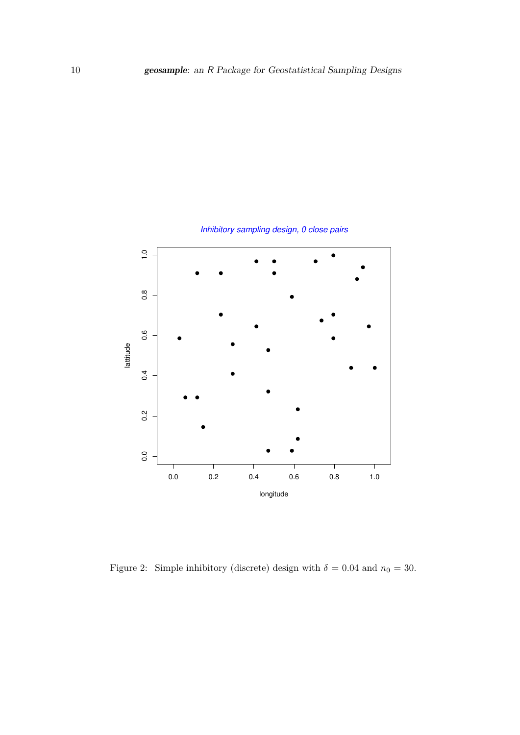

Inhibitory sampling design, 0 close pairs

Figure 2: Simple inhibitory (discrete) design with  $\delta = 0.04$  and  $n_0 = 30$ .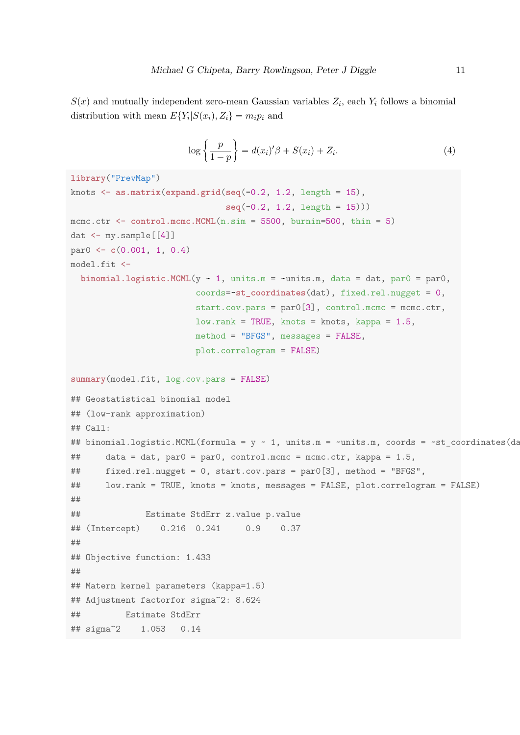$S(x)$  and mutually independent zero-mean Gaussian variables  $Z_i$ , each  $Y_i$  follows a binomial distribution with mean  $E\{Y_i|S(x_i), Z_i\} = m_i p_i$  and

$$
\log\left\{\frac{p}{1-p}\right\} = d(x_i)'\beta + S(x_i) + Z_i.
$$
\n(4)

```
library("PrevMap")
knots <- as.matrix(expand.grid(seq(-0.2, 1.2, length = 15),
                               seq(-0.2, 1.2, length = 15)))
mcmc.ctr \le control.mcmc.MCML(n.sim = 5500, burnin=500, thin = 5)dat \leq my.sample[[4]]
par0 <- c(0.001, 1, 0.4)
model.fit <-
  binomial.logistic.MCML(y \sim 1, units.m = \simunits.m, data = dat, par0 = par0,
                         coords=~st_coordinates(dat), fixed.rel.nugget = 0,
                         start.cov.pars = par0[3], control.mcmc = mcmc.ctr,
                         low.\text{rank} = \text{TRUE}, \text{ knots} = \text{ knots}, \text{kappa} = 1.5,method = "BFGS", messages = FALSE,
                         plot.correlogram = FALSE)
summary(model.fit, log.cov.pars = FALSE)
## Geostatistical binomial model
## (low-rank approximation)
## Call:
## binomial.logistic.MCML(formula = y \sim 1, units.m = ~units.m, coords = ~st_coordinates(dation),
## data = dat, par0 = par0, control.mcmc = mcmc.ctr, kappa = 1.5,
## fixed.rel.nugget = 0, start.cov.pars = par0[3], method = "BFGS",
## low.rank = TRUE, knots = knots, messages = FALSE, plot.correlogram = FALSE)
##
## Estimate StdErr z.value p.value
## (Intercept) 0.216 0.241 0.9 0.37
##
## Objective function: 1.433
##
## Matern kernel parameters (kappa=1.5)
## Adjustment factorfor sigma<sup>2</sup>: 8.624
## Estimate StdErr
## sigma^2 1.053 0.14
```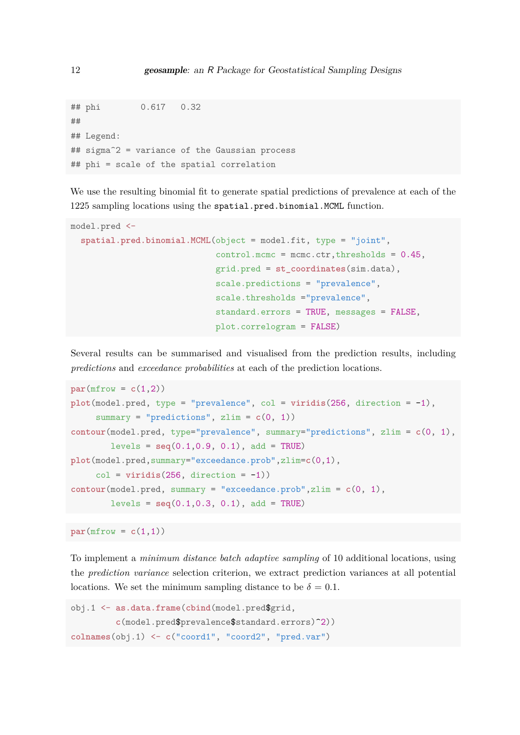```
## phi 0.617 0.32
##
## Legend:
## sigma^2 = variance of the Gaussian process
## phi = scale of the spatial correlation
```
We use the resulting binomial fit to generate spatial predictions of prevalence at each of the 1225 sampling locations using the spatial.pred.binomial.MCML function.

```
model.pred <-
  spatial.pred.binomial.MCML(object = model.fit, type = "joint",
                             control.mcmc = mcmc.ctr,thresholds = 0.45,
                             grid.pred = st_coordinates(sim.data),
                             scale.predictions = "prevalence",
                             scale.thresholds ="prevalence",
                             standard.errors = TRUE, messages = FALSE,
                             plot.correlogram = FALSE)
```
Several results can be summarised and visualised from the prediction results, including *predictions* and *exceedance probabilities* at each of the prediction locations.

```
par(mfrow = c(1,2))plot(model.pred, type = "prevalence", col = viridis(256, direction = -1),
     summary = "predictions", zlim = c(0, 1))
contour(model.pred, type="prevalence", summary="predictions", zlim = c(0, 1),
        levels = seq(0.1, 0.9, 0.1), add = TRUE)plot(model.pred,summary="exceedance.prob",zlim=c(0,1),
     col = viridis(256, direction = -1))contour(model.pred, summary = "exceedance.prob",zlim = c(0, 1),
        levels = seq(0.1, 0.3, 0.1), add = TRUE)
```
 $par(mfrow = c(1,1))$ 

To implement a *minimum distance batch adaptive sampling* of 10 additional locations, using the *prediction variance* selection criterion, we extract prediction variances at all potential locations. We set the minimum sampling distance to be  $\delta = 0.1$ .

```
obj.1 <- as.data.frame(cbind(model.pred$grid,
         c(model.pred$prevalence$standard.errors)^2))
colnames(obj.1) <- c("coord1", "coord2", "pred.var")
```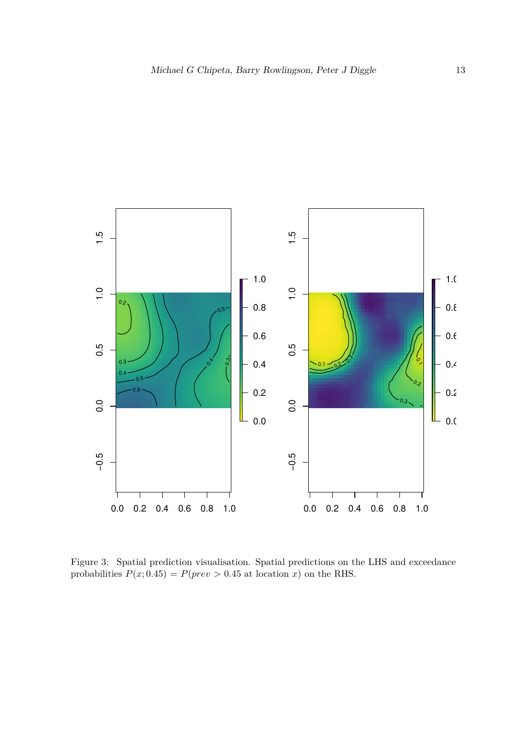

Figure 3: Spatial prediction visualisation. Spatial predictions on the LHS and exceedance probabilities  $P(x; 0.45) = P(prev > 0.45 \text{ at location } x)$  on the RHS.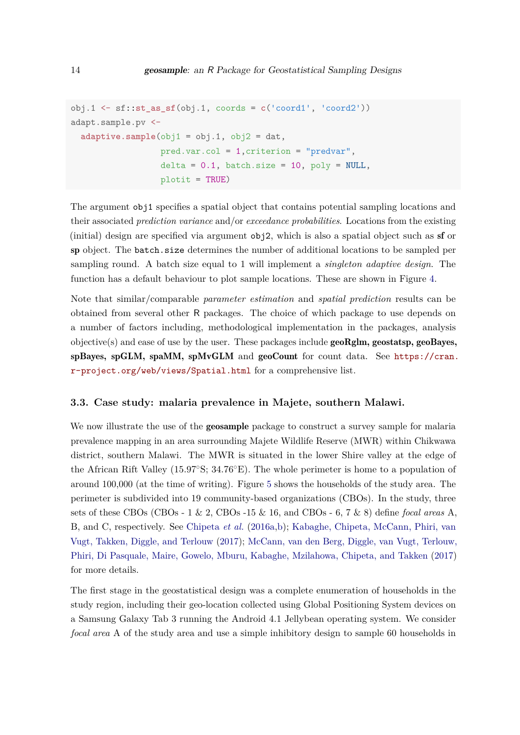```
obj.1 <- sf::st_as_sf(obj.1, coords = c('coord1', 'coord2'))
adapt.sample.pv <-
 adaptive.sumple(obj1 = obj.1, obj2 = dat,pred.var.col = 1,criterion = "predvar",
                  delta = 0.1, batch.size = 10, poly = NULL,
                  plotit = TRUE)
```
The argument obj1 specifies a spatial object that contains potential sampling locations and their associated *prediction variance* and/or *exceedance probabilities*. Locations from the existing (initial) design are specified via argument obj2, which is also a spatial object such as sf or sp object. The batch.size determines the number of additional locations to be sampled per sampling round. A batch size equal to 1 will implement a *singleton adaptive design*. The function has a default behaviour to plot sample locations. These are shown in Figure 4.

Note that similar/comparable *parameter estimation* and *spatial prediction* results can be obtained from several other R packages. The choice of which package to use depends on a number of factors including, methodological implementation in the packages, analysis  $objective(s)$  and ease of use by the user. These packages include  $geoRglm, geostatsp, geoBayes,$ spBayes, spGLM, spaMM, spMvGLM and geoCount for count data. See https://cran. r-project.org/web/views/Spatial.html for a comprehensive list.

#### **3.3. Case study: malaria prevalence in Majete, southern Malawi.**

We now illustrate the use of the **geosample** package to construct a survey sample for malaria prevalence mapping in an area surrounding Majete Wildlife Reserve (MWR) within Chikwawa district, southern Malawi. The MWR is situated in the lower Shire valley at the edge of the African Rift Valley (15.97 $\textdegree$ S; 34.76 $\textdegree$ E). The whole perimeter is home to a population of around 100,000 (at the time of writing). Figure 5 shows the households of the study area. The perimeter is subdivided into 19 community-based organizations (CBOs). In the study, three sets of these CBOs (CBOs - 1 & 2, CBOs -15 & 16, and CBOs - 6, 7 & 8) define *focal areas* A, B, and C, respectively. See Chipeta *et al.* (2016a,b); Kabaghe, Chipeta, McCann, Phiri, van Vugt, Takken, Diggle, and Terlouw (2017); McCann, van den Berg, Diggle, van Vugt, Terlouw, Phiri, Di Pasquale, Maire, Gowelo, Mburu, Kabaghe, Mzilahowa, Chipeta, and Takken (2017) for more details.

The first stage in the geostatistical design was a complete enumeration of households in the study region, including their geo-location collected using Global Positioning System devices on a Samsung Galaxy Tab 3 running the Android 4.1 Jellybean operating system. We consider *focal area* A of the study area and use a simple inhibitory design to sample 60 households in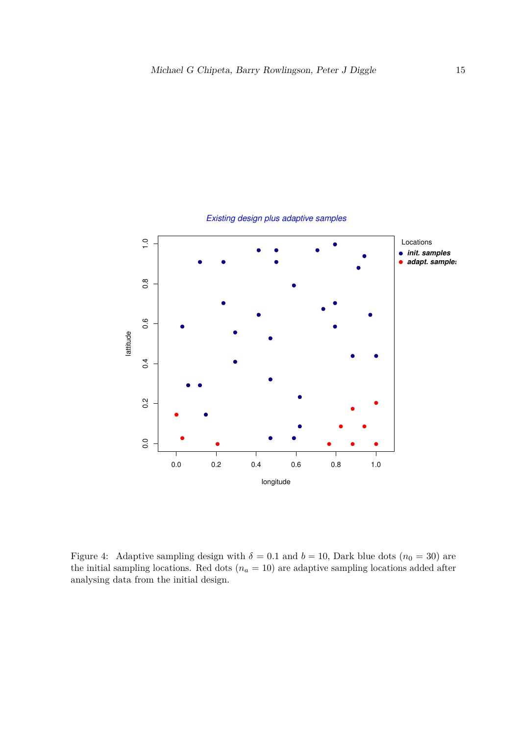

Existing design plus adaptive samples

Figure 4: Adaptive sampling design with  $\delta = 0.1$  and  $b = 10$ , Dark blue dots  $(n_0 = 30)$  are the initial sampling locations. Red dots  $(n_a = 10)$  are adaptive sampling locations added after analysing data from the initial design.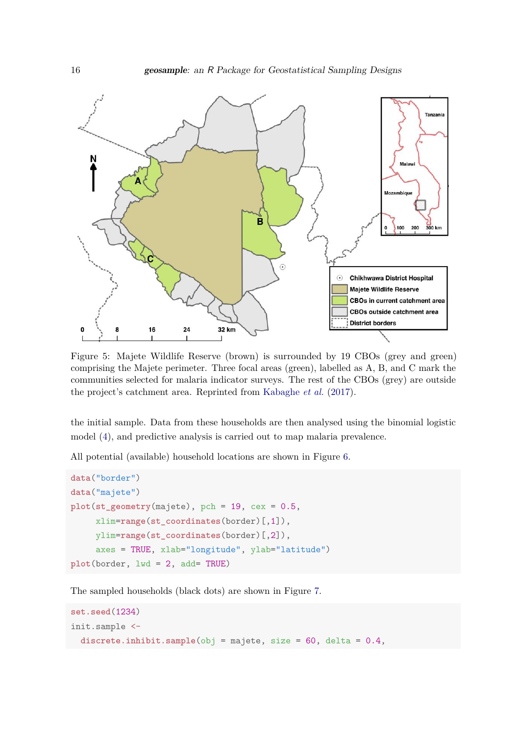

Figure 5: Majete Wildlife Reserve (brown) is surrounded by 19 CBOs (grey and green) comprising the Majete perimeter. Three focal areas (green), labelled as A, B, and C mark the communities selected for malaria indicator surveys. The rest of the CBOs (grey) are outside the project's catchment area. Reprinted from Kabaghe *et al.* (2017).

the initial sample. Data from these households are then analysed using the binomial logistic model (4), and predictive analysis is carried out to map malaria prevalence.

All potential (available) household locations are shown in Figure 6.

```
data("border")
data("majete")
plot(st_geometry(majete), pch = 19, cex = 0.5,
     xlim=range(st_coordinates(border)[,1]),
     ylim=range(st_coordinates(border)[,2]),
     axes = TRUE, xlab="longitude", ylab="latitude")
plot(border, lwd = 2, add= TRUE)
```
The sampled households (black dots) are shown in Figure 7.

```
set.seed(1234)
init.sample <-
 discrete.inhibit.sample(obj = majete, size = 60, delta = 0.4,
```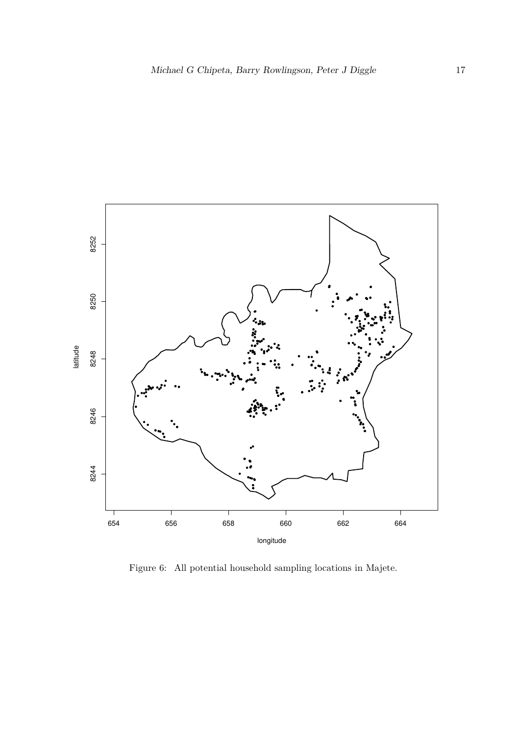

Figure 6: All potential household sampling locations in Majete.  $\,$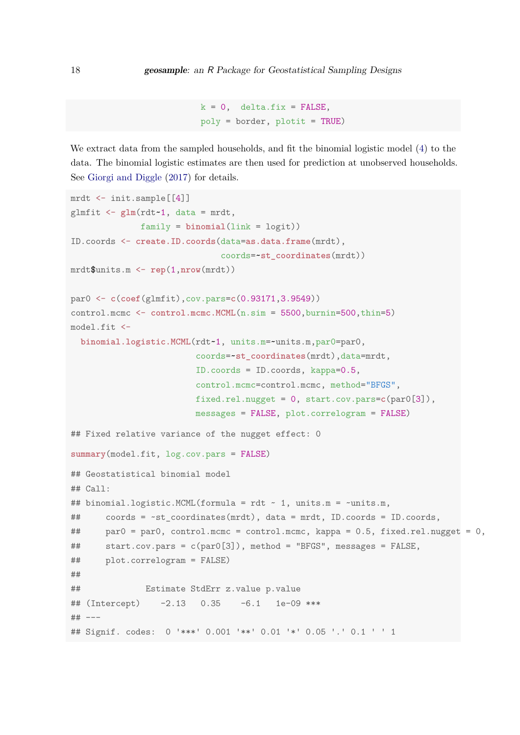```
k = 0, delta.fix = FALSE,
poly = border, plotit = TRUE)
```
We extract data from the sampled households, and fit the binomial logistic model (4) to the data. The binomial logistic estimates are then used for prediction at unobserved households. See Giorgi and Diggle (2017) for details.

```
mrdt <- init.sample[[4]]
glmfit <- glm(rdt~1, data = mrdt,
             family = binomial(link = logit))
ID.coords <- create.ID.coords(data=as.data.frame(mrdt),
                             coords=~st_coordinates(mrdt))
mrdt$units.m <- rep(1,nrow(mrdt))
par0 <- c(coef(glmfit),cov.pars=c(0.93171,3.9549))
control.mcmc <- control.mcmc.MCML(n.sim = 5500, burnin=500, thin=5)
model.fit <-
  binomial.logistic.MCML(rdt~1, units.m=~units.m,par0=par0,
                        coords=~st_coordinates(mrdt),data=mrdt,
                        ID.coords = ID.coords, kappa=0.5,
                        control.mcmc=control.mcmc, method="BFGS",
                        fixed.rel.nugget = 0, start.cov.pars=c(par0[3]),
                        messages = FALSE, plot.correlogram = FALSE)
## Fixed relative variance of the nugget effect: 0
summary(model.fit, log.cov.pars = FALSE)
## Geostatistical binomial model
## Call:
## binomial.logistic.MCML(formula = rdt ~ 1, units.m = ~units.m,
## coords = ~st_coordinates(mrdt), data = mrdt, ID.coords = ID.coords,
## par0 = par0, control.mcmc = control.mcmc, kappa = 0.5, fixed.rel.nugget = 0,
## start.cov.pars = c(par0[3]), method = "BFGS", messages = FALSE,
## plot.correlogram = FALSE)
##
## Estimate StdErr z.value p.value
\## (Intercept) -2.13 0.35 -6.1 1e-09 ***
## ---
## Signif. codes: 0 '***' 0.001 '**' 0.01 '*' 0.05 '.' 0.1 ' ' 1
```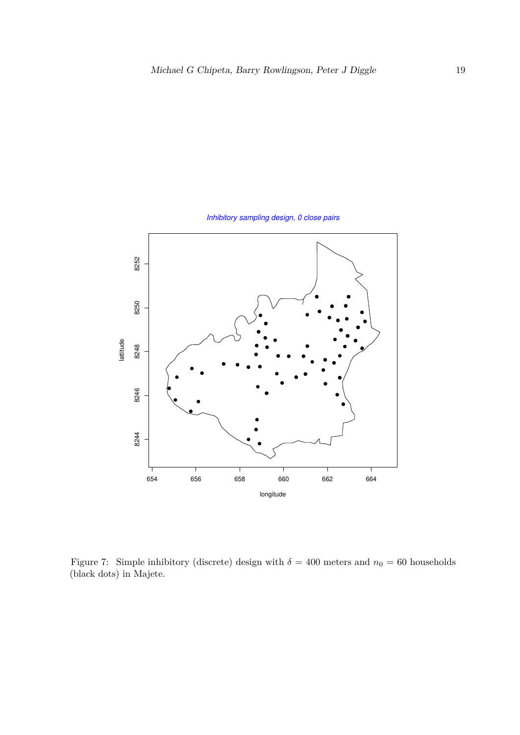

Inhibitory sampling design, 0 close pairs

Figure 7: Simple inhibitory (discrete) design with  $\delta = 400$  meters and  $n_0 = 60$  households (black dots) in Majete.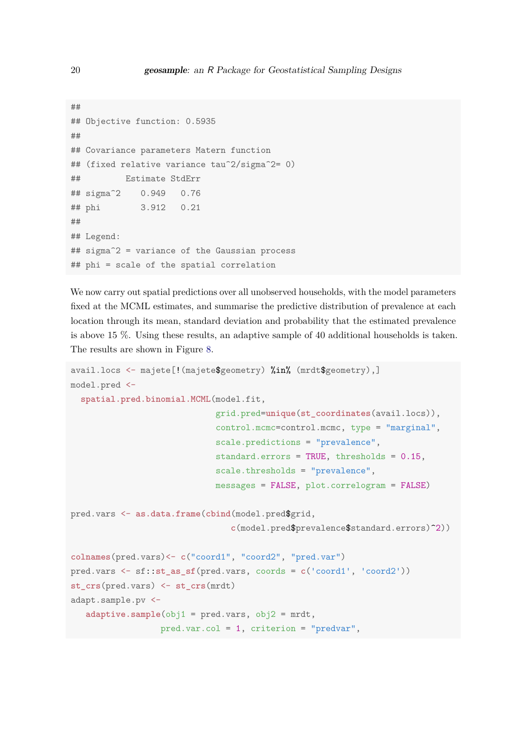```
##
## Objective function: 0.5935
##
## Covariance parameters Matern function
## (fixed relative variance tau^2/sigma^2= 0)
## Estimate StdErr
## sigma^2 0.949 0.76
## phi 3.912 0.21
##
## Legend:
## sigma^2 = variance of the Gaussian process
## phi = scale of the spatial correlation
```
We now carry out spatial predictions over all unobserved households, with the model parameters fixed at the MCML estimates, and summarise the predictive distribution of prevalence at each location through its mean, standard deviation and probability that the estimated prevalence is above 15 %. Using these results, an adaptive sample of 40 additional households is taken. The results are shown in Figure 8.

```
avail.locs <- majete[!(majete$geometry) %in% (mrdt$geometry),]
model.pred <-
  spatial.pred.binomial.MCML(model.fit,
                             grid.pred=unique(st_coordinates(avail.locs)),
                             control.mcmc=control.mcmc, type = "marginal",
                             scale.predictions = "prevalence",
                             standard.errors = TRUE, thresholds = 0.15,
                             scale.thresholds = "prevalence",
                             messages = FALSE, plot.correlogram = FALSE)
pred.vars <- as.data.frame(cbind(model.pred$grid,
                                c(model.pred$prevalence$standard.errors)^2))
colnames(pred.vars)<- c("coord1", "coord2", "pred.var")
pred.vars <- sf::st_as_sf(pred.vars, coords = c('coord1', 'coord2'))
st_crs(pred.vars) <- st_crs(mrdt)
adapt.sample.pv <-
   adaptive.sample(obj1 = pred.vars, obj2 = mrdt,
                  pred.var.col = 1, criterion = "predvar",
```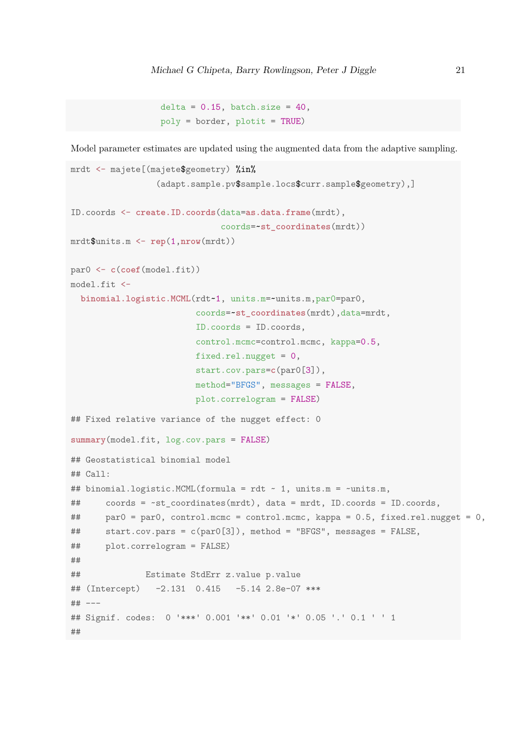```
delta = 0.15, batch.size = 40,
poly = border, plotit = TRUE)
```
Model parameter estimates are updated using the augmented data from the adaptive sampling.

```
mrdt <- majete[(majete$geometry) %in%
                 (adapt.sample.pv$sample.locs$curr.sample$geometry),]
ID.coords <- create.ID.coords(data=as.data.frame(mrdt),
                             coords=~st_coordinates(mrdt))
mrdt$units.m <- rep(1,nrow(mrdt))
par0 <- c(coef(model.fit))
model.fit <-
  binomial.logistic.MCML(rdt~1, units.m=~units.m,par0=par0,
                        coords=~st_coordinates(mrdt),data=mrdt,
                        ID.coords = ID.coords,
                        control.mcmc=control.mcmc, kappa=0.5,
                        fixed.rel.nugget = 0,
                        start.cov.pars=c(par0[3]),
                        method="BFGS", messages = FALSE,
                        plot.correlogram = FALSE)
## Fixed relative variance of the nugget effect: 0
summary(model.fit, log.cov.pars = FALSE)
## Geostatistical binomial model
## Call:
## binomial.logistic.MCML(formula = rdt ~ 1, units.m = ~units.m,
## coords = ~st_coordinates(mrdt), data = mrdt, ID.coords = ID.coords,
## par0 = par0, control.mcmc = control.mcmc, kappa = 0.5, fixed.rel.nugget = 0,
## start.cov.pars = c(par0[3]), method = "BFGS", messages = FALSE,
## plot.correlogram = FALSE)
##
## Estimate StdErr z.value p.value
## (Intercept) -2.131 0.415 -5.14 2.8e-07 ***
## ---
## Signif. codes: 0 '***' 0.001 '**' 0.01 '*' 0.05 '.' 0.1 ' ' 1
##
```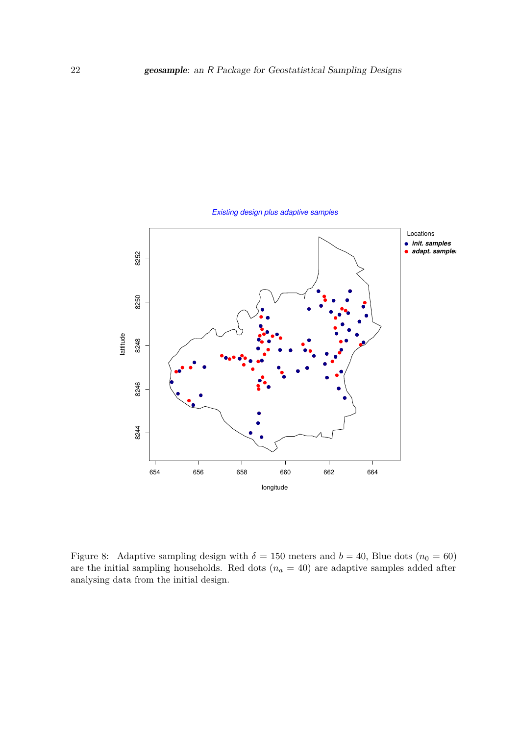

Figure 8: Adaptive sampling design with  $\delta = 150$  meters and  $b = 40$ , Blue dots ( $n_0 = 60$ ) are the initial sampling households. Red dots  $(n_a = 40)$  are adaptive samples added after analysing data from the initial design.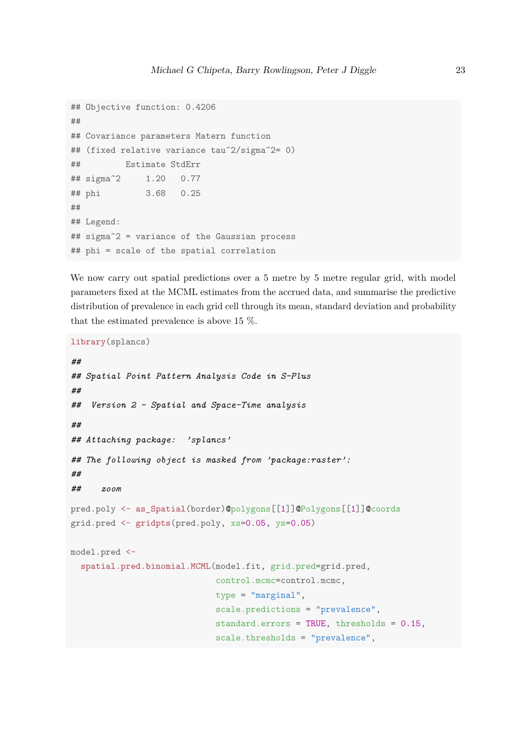```
## Objective function: 0.4206
##
## Covariance parameters Matern function
## (fixed relative variance tau^2/sigma^2= 0)
## Estimate StdErr
## sigma^2 1.20 0.77
## phi 3.68 0.25
##
## Legend:
## sigma^2 = variance of the Gaussian process
## phi = scale of the spatial correlation
```
We now carry out spatial predictions over a 5 metre by 5 metre regular grid, with model parameters fixed at the MCML estimates from the accrued data, and summarise the predictive distribution of prevalence in each grid cell through its mean, standard deviation and probability that the estimated prevalence is above 15 %.

```
library(splancs)
```

```
##
## Spatial Point Pattern Analysis Code in S-Plus
##
## Version 2 - Spatial and Space-Time analysis
##
## Attaching package: 'splancs'
## The following object is masked from 'package:raster':
##
## zoom
pred.poly <- as_Spatial(border)@polygons[[1]]@Polygons[[1]]@coords
grid.pred <- gridpts(pred.poly, xs=0.05, ys=0.05)
model.pred <-
  spatial.pred.binomial.MCML(model.fit, grid.pred=grid.pred,
                             control.mcmc=control.mcmc,
                             type = "marginal",
                             scale.predictions = "prevalence",
                             standard.errors = TRUE, thresholds = 0.15,
                             scale.thresholds = "prevalence",
```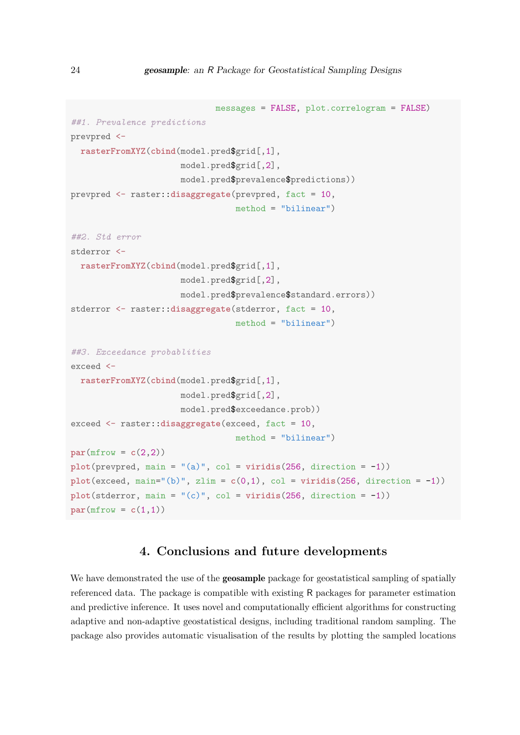```
messages = FALSE, plot.correlogram = FALSE)
##1. Prevalence predictions
prevpred <-
  rasterFromXYZ(cbind(model.pred$grid[,1],
                      model.pred$grid[,2],
                      model.pred$prevalence$predictions))
prevpred <- raster::disaggregate(prevpred, fact = 10,
                                 method = "bilinear")
##2. Std error
stderror <-
  rasterFromXYZ(cbind(model.pred$grid[,1],
                      model.pred$grid[,2],
                      model.pred$prevalence$standard.errors))
stderror <- raster::disaggregate(stderror, fact = 10,
                                 method = "bilinear")##3. Exceedance probablities
exceed <-
  rasterFromXYZ(cbind(model.pred$grid[,1],
                      model.pred$grid[,2],
                      model.pred$exceedance.prob))
exceed <- raster::disaggregate(exceed, fact = 10,
                                 method = "bilinear")
par(mfrow = c(2,2))plot(prevpred, main = "(a)", col = viridis(256, direction = -1))
plot(exceed, main="(b)", zlim = c(0,1), col = viridis(256, direction = -1))plot(stderror, main = "(c)", col = viridis(256, direction = -1))
par(mfrow = c(1,1))
```
# **4. Conclusions and future developments**

We have demonstrated the use of the **geosample** package for geostatistical sampling of spatially referenced data. The package is compatible with existing R packages for parameter estimation and predictive inference. It uses novel and computationally efficient algorithms for constructing adaptive and non-adaptive geostatistical designs, including traditional random sampling. The package also provides automatic visualisation of the results by plotting the sampled locations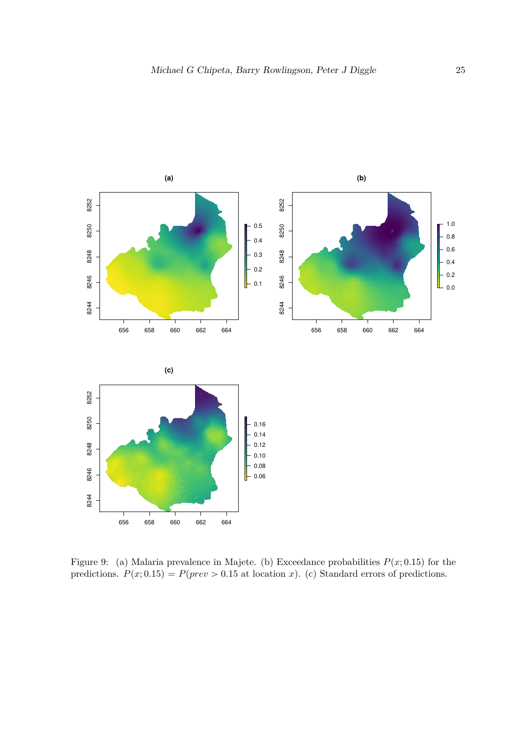

Figure 9: (a) Malaria prevalence in Majete. (b) Exceedance probabilities  $P(x; 0.15)$  for the predictions.  $P(x; 0.15) = P(prev > 0.15$  at location *x*). (c) Standard errors of predictions.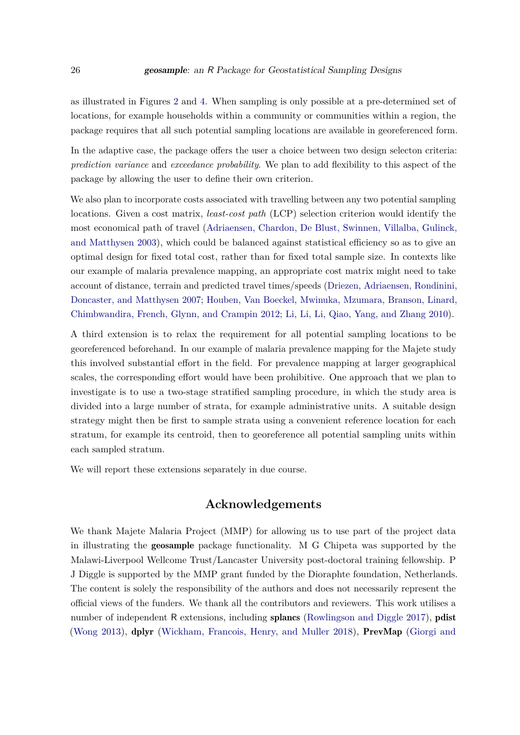as illustrated in Figures 2 and 4. When sampling is only possible at a pre-determined set of locations, for example households within a community or communities within a region, the package requires that all such potential sampling locations are available in georeferenced form.

In the adaptive case, the package offers the user a choice between two design selecton criteria: *prediction variance* and *exceedance probability*. We plan to add flexibility to this aspect of the package by allowing the user to define their own criterion.

We also plan to incorporate costs associated with travelling between any two potential sampling locations. Given a cost matrix, *least-cost path* (LCP) selection criterion would identify the most economical path of travel (Adriaensen, Chardon, De Blust, Swinnen, Villalba, Gulinck, and Matthysen 2003), which could be balanced against statistical efficiency so as to give an optimal design for fixed total cost, rather than for fixed total sample size. In contexts like our example of malaria prevalence mapping, an appropriate cost matrix might need to take account of distance, terrain and predicted travel times/speeds (Driezen, Adriaensen, Rondinini, Doncaster, and Matthysen 2007; Houben, Van Boeckel, Mwinuka, Mzumara, Branson, Linard, Chimbwandira, French, Glynn, and Crampin 2012; Li, Li, Li, Qiao, Yang, and Zhang 2010).

A third extension is to relax the requirement for all potential sampling locations to be georeferenced beforehand. In our example of malaria prevalence mapping for the Majete study this involved substantial effort in the field. For prevalence mapping at larger geographical scales, the corresponding effort would have been prohibitive. One approach that we plan to investigate is to use a two-stage stratified sampling procedure, in which the study area is divided into a large number of strata, for example administrative units. A suitable design strategy might then be first to sample strata using a convenient reference location for each stratum, for example its centroid, then to georeference all potential sampling units within each sampled stratum.

We will report these extensions separately in due course.

## **Acknowledgements**

We thank Majete Malaria Project (MMP) for allowing us to use part of the project data in illustrating the geosample package functionality. M G Chipeta was supported by the Malawi-Liverpool Wellcome Trust/Lancaster University post-doctoral training fellowship. P J Diggle is supported by the MMP grant funded by the Dioraphte foundation, Netherlands. The content is solely the responsibility of the authors and does not necessarily represent the official views of the funders. We thank all the contributors and reviewers. This work utilises a number of independent R extensions, including **splancs** (Rowlingson and Diggle 2017), **pdist** (Wong 2013), dplyr (Wickham, Francois, Henry, and Muller 2018), PrevMap (Giorgi and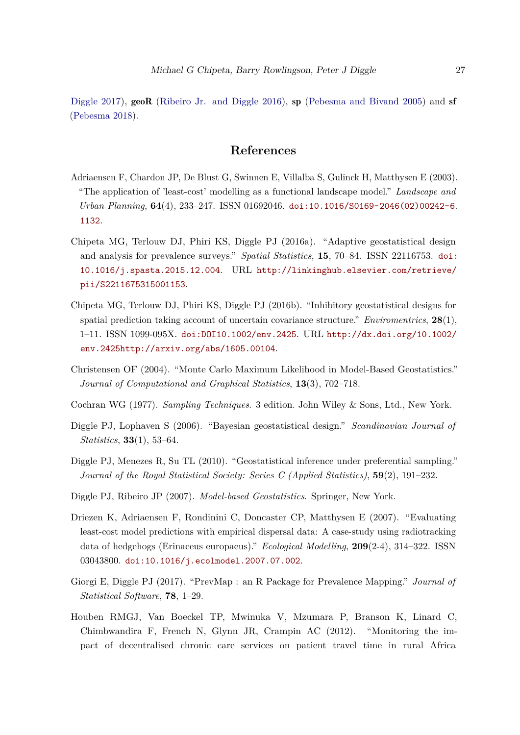Diggle 2017), **geoR** (Ribeiro Jr. and Diggle 2016), **sp** (Pebesma and Bivand 2005) and **sf** (Pebesma 2018).

# **References**

- Adriaensen F, Chardon JP, De Blust G, Swinnen E, Villalba S, Gulinck H, Matthysen E (2003). "The application of 'least-cost' modelling as a functional landscape model." *Landscape and Urban Planning*, **64**(4), 233–247. ISSN 01692046. doi:10.1016/S0169-2046(02)00242-6. 1132.
- Chipeta MG, Terlouw DJ, Phiri KS, Diggle PJ (2016a). "Adaptive geostatistical design and analysis for prevalence surveys." *Spatial Statistics*, **15**, 70–84. ISSN 22116753. doi: 10.1016/j.spasta.2015.12.004. URL http://linkinghub.elsevier.com/retrieve/ pii/S2211675315001153.
- Chipeta MG, Terlouw DJ, Phiri KS, Diggle PJ (2016b). "Inhibitory geostatistical designs for spatial prediction taking account of uncertain covariance structure." *Enviromentrics*, **28**(1), 1–11. ISSN 1099-095X. doi:DOI10.1002/env.2425. URL http://dx.doi.org/10.1002/ env.2425http://arxiv.org/abs/1605.00104.
- Christensen OF (2004). "Monte Carlo Maximum Likelihood in Model-Based Geostatistics." *Journal of Computational and Graphical Statistics*, **13**(3), 702–718.
- Cochran WG (1977). *Sampling Techniques*. 3 edition. John Wiley & Sons, Ltd., New York.
- Diggle PJ, Lophaven S (2006). "Bayesian geostatistical design." *Scandinavian Journal of Statistics*, **33**(1), 53–64.
- Diggle PJ, Menezes R, Su TL (2010). "Geostatistical inference under preferential sampling." *Journal of the Royal Statistical Society: Series C (Applied Statistics)*, **59**(2), 191–232.
- Diggle PJ, Ribeiro JP (2007). *Model-based Geostatistics*. Springer, New York.
- Driezen K, Adriaensen F, Rondinini C, Doncaster CP, Matthysen E (2007). "Evaluating least-cost model predictions with empirical dispersal data: A case-study using radiotracking data of hedgehogs (Erinaceus europaeus)." *Ecological Modelling*, **209**(2-4), 314–322. ISSN 03043800. doi:10.1016/j.ecolmodel.2007.07.002.
- Giorgi E, Diggle PJ (2017). "PrevMap : an R Package for Prevalence Mapping." *Journal of Statistical Software*, **78**, 1–29.
- Houben RMGJ, Van Boeckel TP, Mwinuka V, Mzumara P, Branson K, Linard C, Chimbwandira F, French N, Glynn JR, Crampin AC (2012). "Monitoring the impact of decentralised chronic care services on patient travel time in rural Africa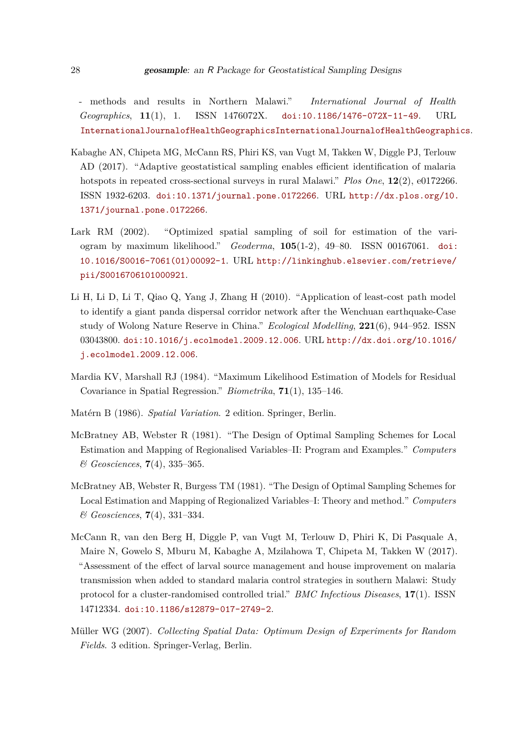- methods and results in Northern Malawi." *International Journal of Health Geographics*, **11**(1), 1. ISSN 1476072X. doi:10.1186/1476-072X-11-49. URL InternationalJournalofHealthGeographicsInternationalJournalofHealthGeographics.

- Kabaghe AN, Chipeta MG, McCann RS, Phiri KS, van Vugt M, Takken W, Diggle PJ, Terlouw AD (2017). "Adaptive geostatistical sampling enables efficient identification of malaria hotspots in repeated cross-sectional surveys in rural Malawi." *Plos One*, **12**(2), e0172266. ISSN 1932-6203. doi:10.1371/journal.pone.0172266. URL http://dx.plos.org/10. 1371/journal.pone.0172266.
- Lark RM (2002). "Optimized spatial sampling of soil for estimation of the variogram by maximum likelihood." *Geoderma*, **105**(1-2), 49–80. ISSN 00167061. doi: 10.1016/S0016-7061(01)00092-1. URL http://linkinghub.elsevier.com/retrieve/ pii/S0016706101000921.
- Li H, Li D, Li T, Qiao Q, Yang J, Zhang H (2010). "Application of least-cost path model to identify a giant panda dispersal corridor network after the Wenchuan earthquake-Case study of Wolong Nature Reserve in China." *Ecological Modelling*, **221**(6), 944–952. ISSN 03043800. doi:10.1016/j.ecolmodel.2009.12.006. URL http://dx.doi.org/10.1016/ j.ecolmodel.2009.12.006.
- Mardia KV, Marshall RJ (1984). "Maximum Likelihood Estimation of Models for Residual Covariance in Spatial Regression." *Biometrika*, **71**(1), 135–146.
- Matérn B (1986). *Spatial Variation*. 2 edition. Springer, Berlin.
- McBratney AB, Webster R (1981). "The Design of Optimal Sampling Schemes for Local Estimation and Mapping of Regionalised Variables–II: Program and Examples." *Computers & Geosciences*, **7**(4), 335–365.
- McBratney AB, Webster R, Burgess TM (1981). "The Design of Optimal Sampling Schemes for Local Estimation and Mapping of Regionalized Variables–I: Theory and method." *Computers & Geosciences*, **7**(4), 331–334.
- McCann R, van den Berg H, Diggle P, van Vugt M, Terlouw D, Phiri K, Di Pasquale A, Maire N, Gowelo S, Mburu M, Kabaghe A, Mzilahowa T, Chipeta M, Takken W (2017). "Assessment of the effect of larval source management and house improvement on malaria transmission when added to standard malaria control strategies in southern Malawi: Study protocol for a cluster-randomised controlled trial." *BMC Infectious Diseases*, **17**(1). ISSN 14712334. doi:10.1186/s12879-017-2749-2.
- Müller WG (2007). *Collecting Spatial Data: Optimum Design of Experiments for Random Fields*. 3 edition. Springer-Verlag, Berlin.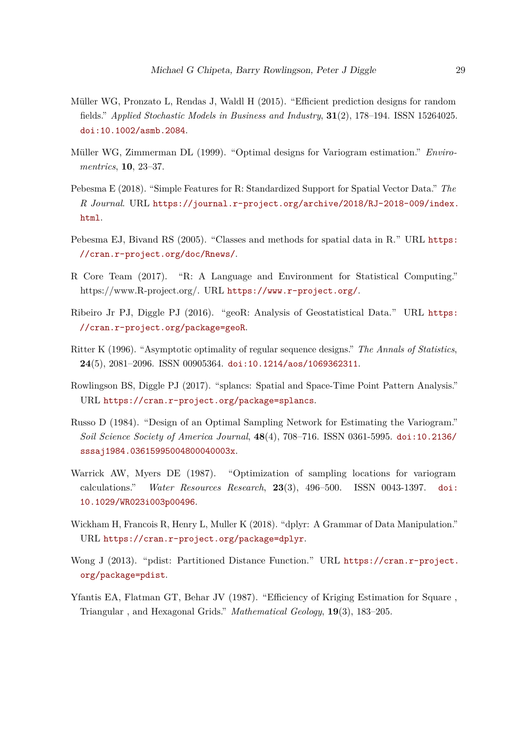- Müller WG, Pronzato L, Rendas J, Waldl H (2015). "Efficient prediction designs for random fields." *Applied Stochastic Models in Business and Industry*, **31**(2), 178–194. ISSN 15264025. doi:10.1002/asmb.2084.
- Müller WG, Zimmerman DL (1999). "Optimal designs for Variogram estimation." *Enviromentrics*, **10**, 23–37.
- Pebesma E (2018). "Simple Features for R: Standardized Support for Spatial Vector Data." *The R Journal*. URL https://journal.r-project.org/archive/2018/RJ-2018-009/index. html.
- Pebesma EJ, Bivand RS (2005). "Classes and methods for spatial data in R." URL https: //cran.r-project.org/doc/Rnews/.
- R Core Team (2017). "R: A Language and Environment for Statistical Computing." https://www.R-project.org/. URL https://www.r-project.org/.
- Ribeiro Jr PJ, Diggle PJ (2016). "geoR: Analysis of Geostatistical Data." URL https: //cran.r-project.org/package=geoR.
- Ritter K (1996). "Asymptotic optimality of regular sequence designs." *The Annals of Statistics*, **24**(5), 2081–2096. ISSN 00905364. doi:10.1214/aos/1069362311.
- Rowlingson BS, Diggle PJ (2017). "splancs: Spatial and Space-Time Point Pattern Analysis." URL https://cran.r-project.org/package=splancs.
- Russo D (1984). "Design of an Optimal Sampling Network for Estimating the Variogram." *Soil Science Society of America Journal*, **48**(4), 708–716. ISSN 0361-5995. doi:10.2136/ sssaj1984.03615995004800040003x.
- Warrick AW, Myers DE (1987). "Optimization of sampling locations for variogram calculations." *Water Resources Research*, **23**(3), 496–500. ISSN 0043-1397. doi: 10.1029/WR023i003p00496.
- Wickham H, Francois R, Henry L, Muller K (2018). "dplyr: A Grammar of Data Manipulation." URL https://cran.r-project.org/package=dplyr.
- Wong J (2013). "pdist: Partitioned Distance Function." URL https://cran.r-project. org/package=pdist.
- Yfantis EA, Flatman GT, Behar JV (1987). "Efficiency of Kriging Estimation for Square , Triangular , and Hexagonal Grids." *Mathematical Geology*, **19**(3), 183–205.